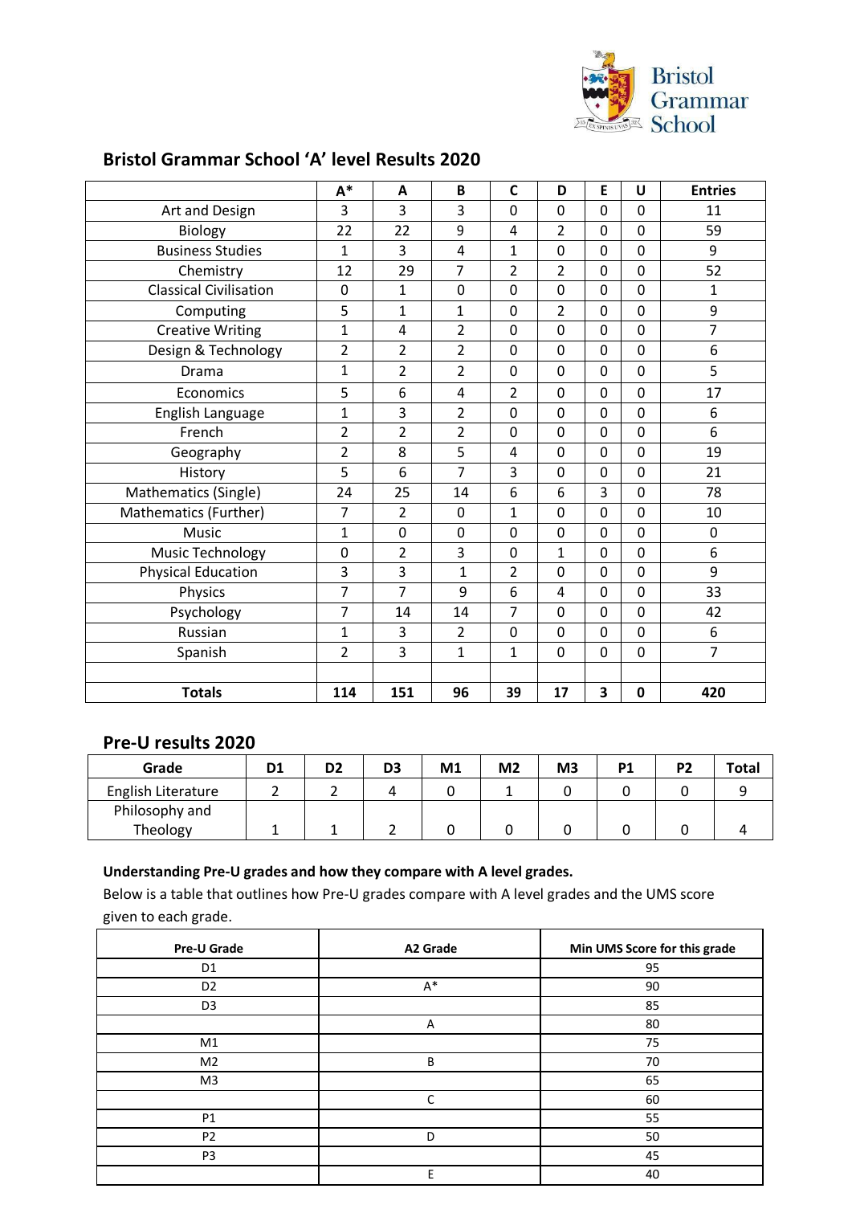

### **Bristol Grammar School 'A' level Results 2020**

|                               | $A^*$                   | A              | B              | $\mathsf{C}$   | D              | E           | U              | <b>Entries</b> |
|-------------------------------|-------------------------|----------------|----------------|----------------|----------------|-------------|----------------|----------------|
| Art and Design                | 3                       | 3              | 3              | 0              | 0              | $\Omega$    | $\Omega$       | 11             |
| Biology                       | 22                      | 22             | 9              | 4              | 2              | $\Omega$    | 0              | 59             |
| <b>Business Studies</b>       | $\mathbf{1}$            | 3              | $\overline{4}$ | 1              | 0              | $\Omega$    | 0              | 9              |
| Chemistry                     | 12                      | 29             | $\overline{7}$ | $\overline{2}$ | $\overline{2}$ | $\Omega$    | 0              | 52             |
| <b>Classical Civilisation</b> | $\mathbf 0$             | $\mathbf{1}$   | 0              | 0              | 0              | $\Omega$    | $\mathbf 0$    | 1              |
| Computing                     | 5                       | $\mathbf{1}$   | $\mathbf{1}$   | 0              | $\overline{2}$ | $\Omega$    | $\Omega$       | 9              |
| <b>Creative Writing</b>       | $\mathbf 1$             | 4              | $\overline{2}$ | 0              | 0              | $\Omega$    | $\Omega$       | $\overline{7}$ |
| Design & Technology           | $\overline{\mathbf{c}}$ | $\overline{2}$ | $\overline{2}$ | 0              | 0              | $\Omega$    | 0              | 6              |
| Drama                         | $\mathbf 1$             | $\overline{2}$ | $\overline{2}$ | 0              | 0              | $\Omega$    | 0              | 5              |
| Economics                     | 5                       | 6              | 4              | $\overline{2}$ | 0              | 0           | 0              | 17             |
| English Language              | $\mathbf 1$             | 3              | $\overline{2}$ | 0              | 0              | $\Omega$    | $\Omega$       | 6              |
| French                        | $\overline{2}$          | $\overline{2}$ | $\overline{2}$ | 0              | 0              | $\mathbf 0$ | $\overline{0}$ | 6              |
| Geography                     | $\overline{2}$          | 8              | 5              | 4              | 0              | $\Omega$    | $\mathbf 0$    | 19             |
| History                       | 5                       | 6              | $\overline{7}$ | 3              | 0              | 0           | 0              | 21             |
| Mathematics (Single)          | 24                      | 25             | 14             | 6              | 6              | 3           | 0              | 78             |
| Mathematics (Further)         | 7                       | $\overline{2}$ | 0              | 1              | 0              | 0           | 0              | 10             |
| Music                         | $\mathbf 1$             | $\mathbf 0$    | 0              | 0              | 0              | $\Omega$    | 0              | $\mathbf 0$    |
| Music Technology              | 0                       | $\overline{2}$ | 3              | 0              | 1              | $\Omega$    | $\Omega$       | 6              |
| <b>Physical Education</b>     | 3                       | 3              | $\mathbf{1}$   | $\overline{2}$ | 0              | $\mathbf 0$ | 0              | 9              |
| Physics                       | $\overline{7}$          | $\overline{7}$ | 9              | 6              | 4              | 0           | 0              | 33             |
| Psychology                    | 7                       | 14             | 14             | $\overline{7}$ | 0              | $\Omega$    | 0              | 42             |
| Russian                       | $\mathbf{1}$            | 3              | $\overline{2}$ | 0              | 0              | 0           | 0              | 6              |
| Spanish                       | $\overline{2}$          | 3              | $\mathbf 1$    | 1              | 0              | 0           | 0              | $\overline{7}$ |
|                               |                         |                |                |                |                |             |                |                |
| <b>Totals</b>                 | 114                     | 151            | 96             | 39             | 17             | 3           | $\mathbf{0}$   | 420            |

#### **Pre-U results 2020**

| Grade              | D1 | D <sub>2</sub> | D3 | M <sub>1</sub> | M <sub>2</sub> | M <sub>3</sub> | D <sub>1</sub> | D2 | <b>Total</b> |
|--------------------|----|----------------|----|----------------|----------------|----------------|----------------|----|--------------|
| English Literature |    |                |    |                |                |                |                |    |              |
| Philosophy and     |    |                |    |                |                |                |                |    |              |
| Theology           |    |                |    |                |                |                |                |    |              |

#### **Understanding Pre-U grades and how they compare with A level grades.**

Below is a table that outlines how Pre-U grades compare with A level grades and the UMS score given to each grade.

| <b>Pre-U Grade</b> | A2 Grade | Min UMS Score for this grade |
|--------------------|----------|------------------------------|
| D <sub>1</sub>     |          | 95                           |
| D <sub>2</sub>     | $A^*$    | 90                           |
| D <sub>3</sub>     |          | 85                           |
|                    | Α        | 80                           |
| M1                 |          | 75                           |
| M <sub>2</sub>     | B        | 70                           |
| M <sub>3</sub>     |          | 65                           |
|                    | C        | 60                           |
| P1                 |          | 55                           |
| P <sub>2</sub>     | D        | 50                           |
| P <sub>3</sub>     |          | 45                           |
|                    | E        | 40                           |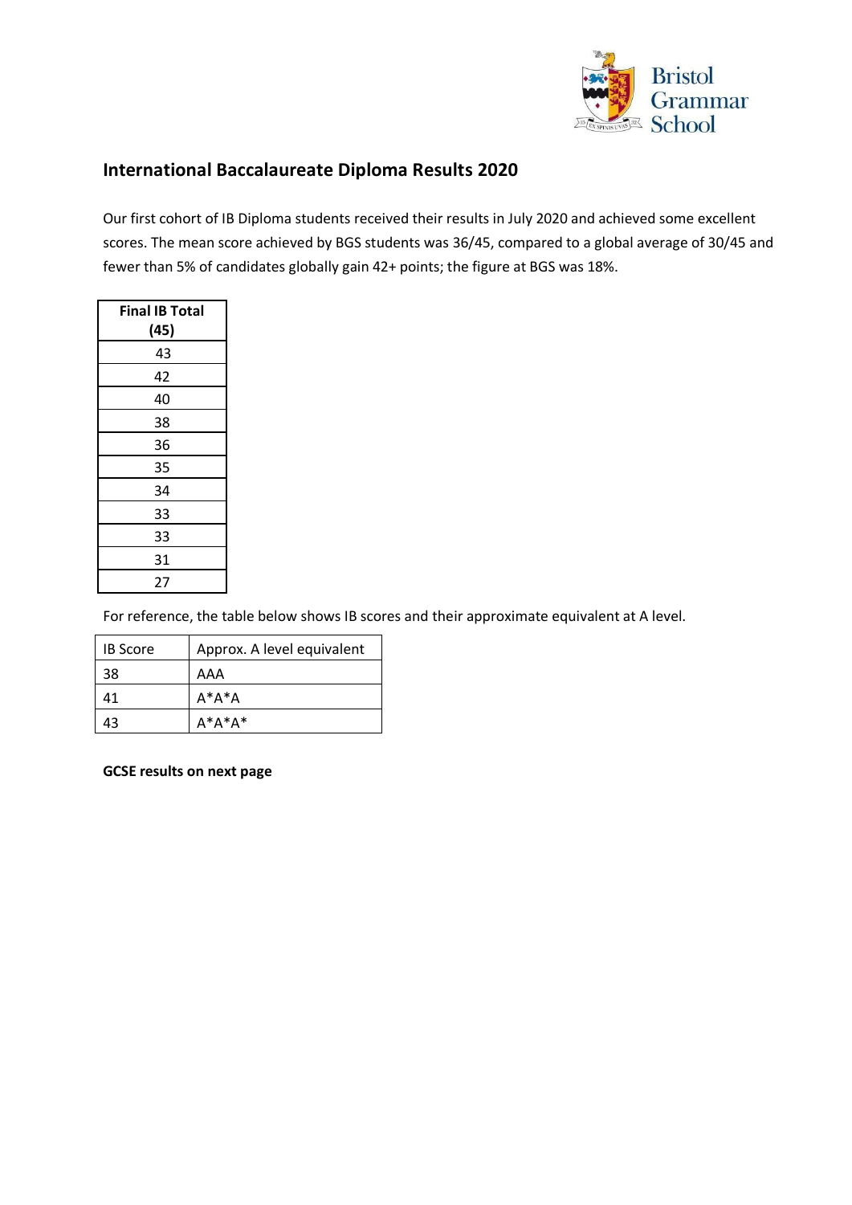

# **International Baccalaureate Diploma Results 2020**

Our first cohort of IB Diploma students received their results in July 2020 and achieved some excellent scores. The mean score achieved by BGS students was 36/45, compared to a global average of 30/45 and fewer than 5% of candidates globally gain 42+ points; the figure at BGS was 18%.

| <b>Final IB Total</b> |
|-----------------------|
| (45)                  |
| 43                    |
| 42                    |
| 40                    |
| 38                    |
| 36                    |
| 35                    |
| 34                    |
| 33                    |
| 33                    |
| 31                    |
| 27                    |

For reference, the table below shows IB scores and their approximate equivalent at A level.

| <b>IB Score</b> | Approx. A level equivalent |
|-----------------|----------------------------|
| 38              | AAA                        |
| 41              | $A^*A^*A$                  |
| 43              | $A^*A^*A^*$                |

**GCSE results on next page**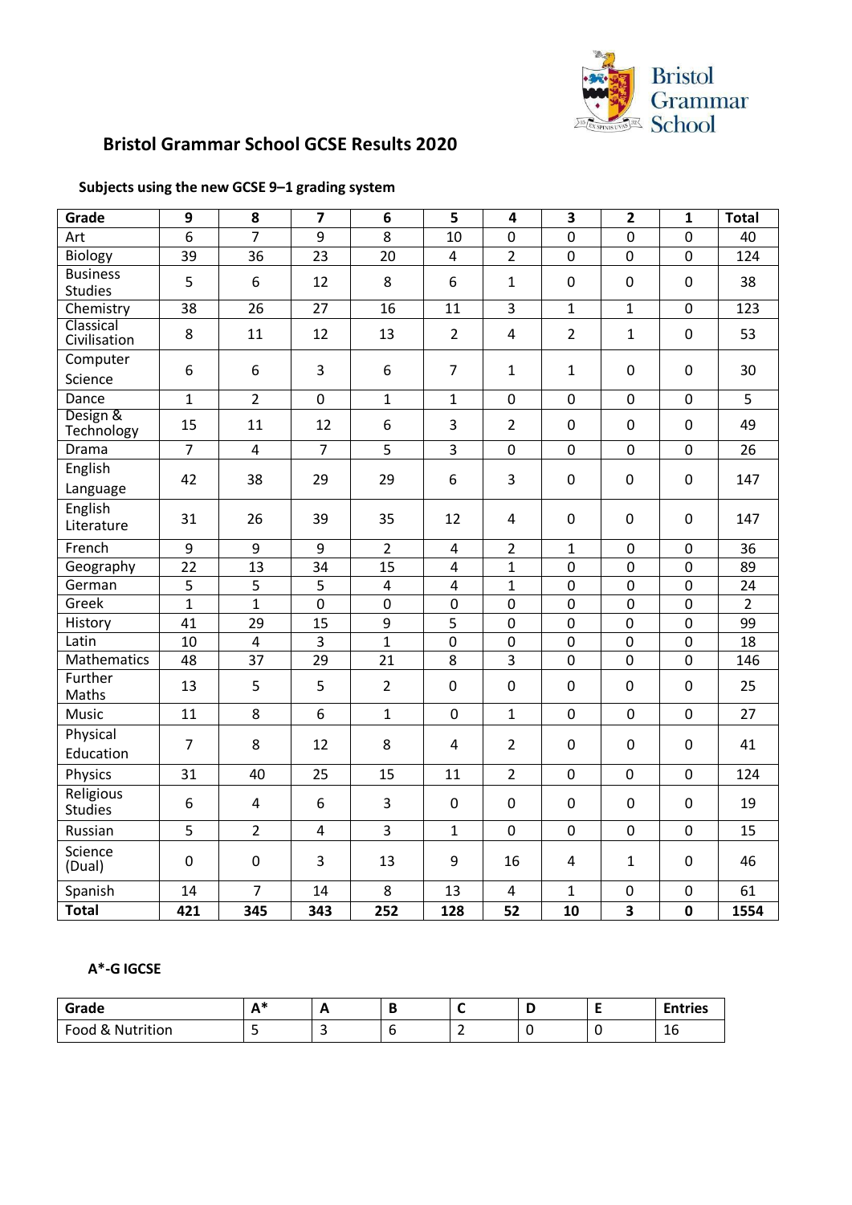

# **Bristol Grammar School GCSE Results 2020**

#### **Subjects using the new GCSE 9–1 grading system**

| Grade                             | 9              | 8              | $\overline{7}$          | 6                       | 5                       | $\overline{\mathbf{4}}$ | 3               | $\overline{2}$          | $\mathbf{1}$   | <b>Total</b>   |
|-----------------------------------|----------------|----------------|-------------------------|-------------------------|-------------------------|-------------------------|-----------------|-------------------------|----------------|----------------|
| Art                               | 6              | $\overline{7}$ | $\overline{9}$          | 8                       | 10                      | 0                       | 0               | $\overline{0}$          | $\overline{0}$ | 40             |
| <b>Biology</b>                    | 39             | 36             | 23                      | 20                      | 4                       | $\overline{2}$          | $\mathbf 0$     | 0                       | $\mathbf 0$    | 124            |
| <b>Business</b><br><b>Studies</b> | 5              | 6              | 12                      | 8                       | 6                       | $\mathbf{1}$            | 0               | 0                       | $\mathbf 0$    | 38             |
| Chemistry                         | 38             | 26             | 27                      | 16                      | 11                      | 3                       | $\mathbf{1}$    | $\mathbf{1}$            | $\mathbf 0$    | 123            |
| Classical<br>Civilisation         | 8              | 11             | 12                      | 13                      | $\overline{2}$          | $\overline{4}$          | $\overline{2}$  | $\mathbf 1$             | $\mathbf 0$    | 53             |
| Computer<br>Science               | 6              | 6              | 3                       | 6                       | $\overline{7}$          | $\mathbf{1}$            | $\mathbf{1}$    | $\mathbf 0$             | $\mathbf 0$    | 30             |
| Dance                             | $\mathbf{1}$   | $\overline{2}$ | $\mathbf 0$             | $\mathbf{1}$            | $\mathbf{1}$            | 0                       | 0               | $\overline{0}$          | $\mathbf 0$    | 5              |
| Design &<br>Technology            | 15             | 11             | 12                      | 6                       | 3                       | $\overline{2}$          | $\mathbf 0$     | $\pmb{0}$               | $\pmb{0}$      | 49             |
| Drama                             | $\overline{7}$ | $\overline{4}$ | $\overline{7}$          | 5                       | $\overline{3}$          | 0                       | 0               | $\mathbf 0$             | $\mathbf 0$    | 26             |
| English<br>Language               | 42             | 38             | 29                      | 29                      | 6                       | 3                       | $\mathbf 0$     | 0                       | $\pmb{0}$      | 147            |
| English<br>Literature             | 31             | 26             | 39                      | 35                      | 12                      | $\overline{4}$          | $\mathbf 0$     | 0                       | $\mathbf 0$    | 147            |
| French                            | 9              | 9              | 9                       | $\overline{2}$          | $\overline{\mathbf{4}}$ | $\overline{2}$          | $\mathbf{1}$    | $\mathbf 0$             | $\mathbf 0$    | 36             |
| Geography                         | 22             | 13             | 34                      | 15                      | $\overline{4}$          | $\mathbf{1}$            | 0               | $\overline{0}$          | $\mathbf 0$    | 89             |
| German                            | 5              | 5              | 5                       | $\overline{\mathbf{4}}$ | $\overline{4}$          | $\mathbf{1}$            | 0               | $\overline{0}$          | $\mathbf 0$    | 24             |
| Greek                             | $\mathbf{1}$   | $\mathbf{1}$   | $\overline{0}$          | $\overline{0}$          | $\overline{0}$          | $\overline{0}$          | 0               | $\overline{0}$          | $\mathbf 0$    | $\overline{2}$ |
| History                           | 41             | 29             | 15                      | $\overline{9}$          | 5                       | $\overline{0}$          | $\mathbf 0$     | 0                       | $\mathbf 0$    | 99             |
| Latin                             | 10             | $\overline{4}$ | $\overline{3}$          | $\mathbf{1}$            | 0                       | $\overline{0}$          | 0               | 0                       | $\mathbf 0$    | 18             |
| Mathematics                       | 48             | 37             | 29                      | 21                      | 8                       | 3                       | $\mathbf 0$     | 0                       | $\mathbf 0$    | 146            |
| Further<br>Maths                  | 13             | 5              | 5                       | $\overline{2}$          | 0                       | $\mathbf 0$             | 0               | 0                       | 0              | 25             |
| Music                             | 11             | 8              | 6                       | $\mathbf{1}$            | $\mathbf 0$             | $\mathbf{1}$            | $\mathbf 0$     | $\mathbf 0$             | $\mathbf 0$    | 27             |
| Physical<br>Education             | $\overline{7}$ | 8              | 12                      | 8                       | $\overline{4}$          | $\overline{2}$          | 0               | 0                       | 0              | 41             |
| Physics                           | 31             | 40             | 25                      | 15                      | 11                      | $\overline{2}$          | $\mathbf 0$     | 0                       | $\mathbf 0$    | 124            |
| Religious<br><b>Studies</b>       | 6              | 4              | 6                       | 3                       | $\mathbf 0$             | $\pmb{0}$               | 0               | $\mathbf 0$             | $\mathbf 0$    | 19             |
| Russian                           | 5              | $\overline{2}$ | $\overline{\mathbf{4}}$ | 3                       | $\mathbf{1}$            | 0                       | 0               | $\pmb{0}$               | $\pmb{0}$      | 15             |
| Science<br>(Dual)                 | $\mathbf 0$    | $\pmb{0}$      | 3                       | 13                      | 9                       | 16                      | 4               | $\mathbf{1}$            | $\pmb{0}$      | 46             |
| Spanish                           | 14             | $\overline{7}$ | 14                      | 8                       | 13                      | 4                       | $\mathbf{1}$    | 0                       | $\mathbf 0$    | 61             |
| <b>Total</b>                      | 421            | 345            | 343                     | 252                     | 128                     | $\overline{52}$         | $\overline{10}$ | $\overline{\mathbf{3}}$ | $\mathbf 0$    | 1554           |

#### **A\*-G IGCSE**

| Grade            | <b>A</b> *<br><b>.</b> | . . |  | . . | <b>Entries</b>      |
|------------------|------------------------|-----|--|-----|---------------------|
| Food & Nutrition |                        |     |  |     | $\overline{ }$<br>ᆚ |